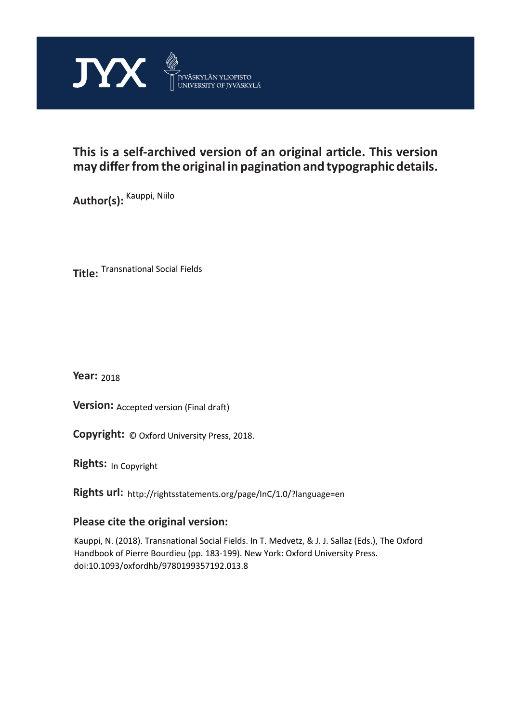

# **This is a self-archived version of an original article. This version may differ from the original in pagination and typographic details.**

**Author(s):** <sup>Kauppi, Niilo</sup>

**Title:**  Transnational Social Fields

**Year:**  2018

**Version: Accepted version (Final draft)** 

**Version:** Accepted version (Final draft)<br>**Copyright:** © Oxford University Press, 2018.

**Rights:** In Copyright

**Rights url:**  http://rightsstatements.org/page/InC/1.0/?language=en

# **Please cite the original version:**

Kauppi, N. (2018). Transnational Social Fields. In T. Medvetz, & J. J. Sallaz (Eds.), The Oxford Handbook of Pierre Bourdieu (pp. 183-199). New York: Oxford University Press. doi:10.1093/oxfordhb/9780199357192.013.8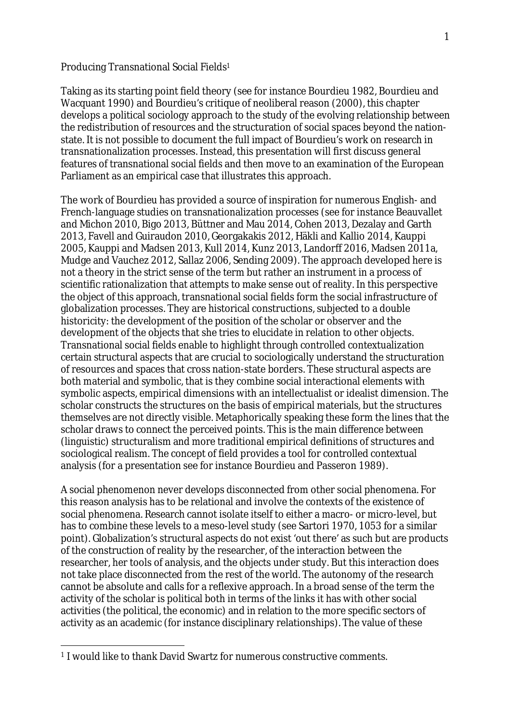#### Producing Transnational Social Fields<sup>1</sup>

Taking as its starting point field theory (see for instance Bourdieu 1982, Bourdieu and Wacquant 1990) and Bourdieu's critique of neoliberal reason (2000), this chapter develops a political sociology approach to the study of the evolving relationship between the redistribution of resources and the structuration of social spaces beyond the nationstate. It is not possible to document the full impact of Bourdieu's work on research in transnationalization processes. Instead, this presentation will first discuss general features of transnational social fields and then move to an examination of the European Parliament as an empirical case that illustrates this approach.

The work of Bourdieu has provided a source of inspiration for numerous English- and French-language studies on transnationalization processes (see for instance Beauvallet and Michon 2010, Bigo 2013, Büttner and Mau 2014, Cohen 2013, Dezalay and Garth 2013, Favell and Guiraudon 2010, Georgakakis 2012, Häkli and Kallio 2014, Kauppi 2005, Kauppi and Madsen 2013, Kull 2014, Kunz 2013, Landorff 2016, Madsen 2011a, Mudge and Vauchez 2012, Sallaz 2006, Sending 2009). The approach developed here is not a theory in the strict sense of the term but rather an instrument in a process of scientific rationalization that attempts to make sense out of reality. In this perspective the object of this approach, transnational social fields form the social infrastructure of globalization processes. They are historical constructions, subjected to a double historicity: the development of the position of the scholar or observer and the development of the objects that she tries to elucidate in relation to other objects. Transnational social fields enable to highlight through controlled contextualization certain structural aspects that are crucial to sociologically understand the structuration of resources and spaces that cross nation-state borders. These structural aspects are both material and symbolic, that is they combine social interactional elements with symbolic aspects, empirical dimensions with an intellectualist or idealist dimension. The scholar constructs the structures on the basis of empirical materials, but the structures themselves are not directly visible. Metaphorically speaking these form the lines that the scholar draws to connect the perceived points. This is the main difference between (linguistic) structuralism and more traditional empirical definitions of structures and sociological realism. The concept of field provides a tool for controlled contextual analysis (for a presentation see for instance Bourdieu and Passeron 1989).

A social phenomenon never develops disconnected from other social phenomena. For this reason analysis has to be relational and involve the contexts of the existence of social phenomena. Research cannot isolate itself to either a macro- or micro-level, but has to combine these levels to a meso-level study (see Sartori 1970, 1053 for a similar point). Globalization's structural aspects do not exist 'out there' as such but are products of the construction of reality by the researcher, of the interaction between the researcher, her tools of analysis, and the objects under study. But this interaction does not take place disconnected from the rest of the world. The autonomy of the research cannot be absolute and calls for a reflexive approach. In a broad sense of the term the activity of the scholar is political both in terms of the links it has with other social activities (the political, the economic) and in relation to the more specific sectors of activity as an academic (for instance disciplinary relationships). The value of these

<sup>1</sup> I would like to thank David Swartz for numerous constructive comments.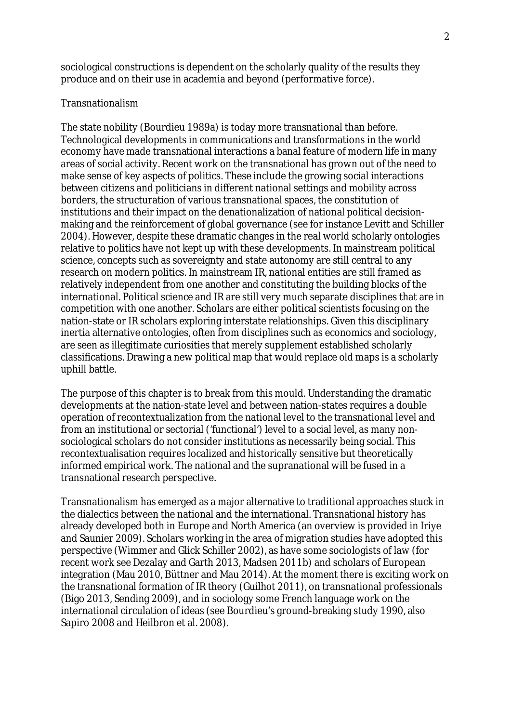sociological constructions is dependent on the scholarly quality of the results they produce and on their use in academia and beyond (performative force).

### Transnationalism

The state nobility (Bourdieu 1989a) is today more transnational than before. Technological developments in communications and transformations in the world economy have made transnational interactions a banal feature of modern life in many areas of social activity. Recent work on the transnational has grown out of the need to make sense of key aspects of politics. These include the growing social interactions between citizens and politicians in different national settings and mobility across borders, the structuration of various transnational spaces, the constitution of institutions and their impact on the denationalization of national political decisionmaking and the reinforcement of global governance (see for instance Levitt and Schiller 2004). However, despite these dramatic changes in the real world scholarly ontologies relative to politics have not kept up with these developments. In mainstream political science, concepts such as sovereignty and state autonomy are still central to any research on modern politics. In mainstream IR, national entities are still framed as relatively independent from one another and constituting the building blocks of the international. Political science and IR are still very much separate disciplines that are in competition with one another. Scholars are either political scientists focusing on the nation-state or IR scholars exploring interstate relationships. Given this disciplinary inertia alternative ontologies, often from disciplines such as economics and sociology, are seen as illegitimate curiosities that merely supplement established scholarly classifications. Drawing a new political map that would replace old maps is a scholarly uphill battle.

The purpose of this chapter is to break from this mould. Understanding the dramatic developments at the nation-state level and between nation-states requires a double operation of recontextualization from the national level to the transnational level and from an institutional or sectorial ('functional') level to a social level, as many nonsociological scholars do not consider institutions as necessarily being social. This recontextualisation requires localized and historically sensitive but theoretically informed empirical work. The national and the supranational will be fused in a transnational research perspective.

Transnationalism has emerged as a major alternative to traditional approaches stuck in the dialectics between the national and the international. Transnational history has already developed both in Europe and North America (an overview is provided in Iriye and Saunier 2009). Scholars working in the area of migration studies have adopted this perspective (Wimmer and Glick Schiller 2002), as have some sociologists of law (for recent work see Dezalay and Garth 2013, Madsen 2011b) and scholars of European integration (Mau 2010, Büttner and Mau 2014). At the moment there is exciting work on the transnational formation of IR theory (Guilhot 2011), on transnational professionals (Bigo 2013, Sending 2009), and in sociology some French language work on the international circulation of ideas (see Bourdieu's ground-breaking study 1990, also Sapiro 2008 and Heilbron et al. 2008).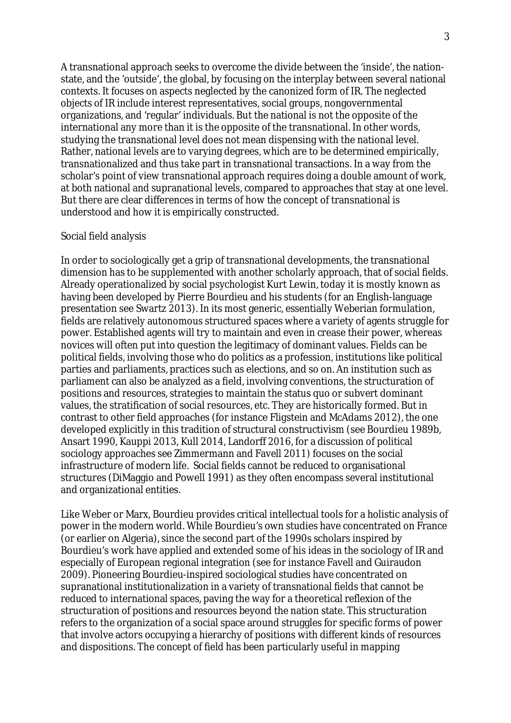A transnational approach seeks to overcome the divide between the 'inside', the nationstate, and the 'outside', the global, by focusing on the interplay between several national contexts. It focuses on aspects neglected by the canonized form of IR. The neglected objects of IR include interest representatives, social groups, nongovernmental organizations, and 'regular' individuals. But the national is not the opposite of the international any more than it is the opposite of the transnational. In other words, studying the transnational level does not mean dispensing with the national level. Rather, national levels are to varying degrees, which are to be determined empirically, transnationalized and thus take part in transnational transactions. In a way from the scholar's point of view transnational approach requires doing a double amount of work, at both national and supranational levels, compared to approaches that stay at one level. But there are clear differences in terms of how the concept of transnational is understood and how it is empirically constructed.

#### Social field analysis

In order to sociologically get a grip of transnational developments, the transnational dimension has to be supplemented with another scholarly approach, that of social fields. Already operationalized by social psychologist Kurt Lewin, today it is mostly known as having been developed by Pierre Bourdieu and his students (for an English-language presentation see Swartz 2013). In its most generic, essentially Weberian formulation, fields are relatively autonomous structured spaces where a variety of agents struggle for power. Established agents will try to maintain and even in crease their power, whereas novices will often put into question the legitimacy of dominant values. Fields can be political fields, involving those who do politics as a profession, institutions like political parties and parliaments, practices such as elections, and so on. An institution such as parliament can also be analyzed as a field, involving conventions, the structuration of positions and resources, strategies to maintain the status quo or subvert dominant values, the stratification of social resources, etc. They are historically formed. But in contrast to other field approaches (for instance Fligstein and McAdams 2012), the one developed explicitly in this tradition of structural constructivism (see Bourdieu 1989b, Ansart 1990, Kauppi 2013, Kull 2014, Landorff 2016, for a discussion of political sociology approaches see Zimmermann and Favell 2011) focuses on the social infrastructure of modern life. Social fields cannot be reduced to organisational structures (DiMaggio and Powell 1991) as they often encompass several institutional and organizational entities.

Like Weber or Marx, Bourdieu provides critical intellectual tools for a holistic analysis of power in the modern world. While Bourdieu's own studies have concentrated on France (or earlier on Algeria), since the second part of the 1990s scholars inspired by Bourdieu's work have applied and extended some of his ideas in the sociology of IR and especially of European regional integration (see for instance Favell and Guiraudon 2009). Pioneering Bourdieu-inspired sociological studies have concentrated on supranational institutionalization in a variety of transnational fields that cannot be reduced to international spaces, paving the way for a theoretical reflexion of the structuration of positions and resources beyond the nation state. This structuration refers to the organization of a social space around struggles for specific forms of power that involve actors occupying a hierarchy of positions with different kinds of resources and dispositions. The concept of field has been particularly useful in mapping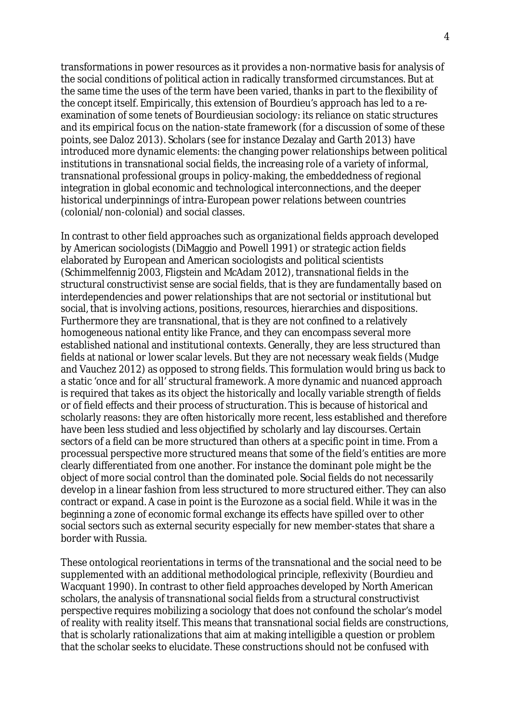transformations in power resources as it provides a non-normative basis for analysis of the social conditions of political action in radically transformed circumstances. But at the same time the uses of the term have been varied, thanks in part to the flexibility of the concept itself. Empirically, this extension of Bourdieu's approach has led to a reexamination of some tenets of Bourdieusian sociology: its reliance on static structures and its empirical focus on the nation-state framework (for a discussion of some of these points, see Daloz 2013). Scholars (see for instance Dezalay and Garth 2013) have introduced more dynamic elements: the changing power relationships between political institutions in transnational social fields, the increasing role of a variety of informal, transnational professional groups in policy-making, the embeddedness of regional integration in global economic and technological interconnections, and the deeper historical underpinnings of intra-European power relations between countries (colonial/non-colonial) and social classes.

In contrast to other field approaches such as organizational fields approach developed by American sociologists (DiMaggio and Powell 1991) or strategic action fields elaborated by European and American sociologists and political scientists (Schimmelfennig 2003, Fligstein and McAdam 2012), transnational fields in the structural constructivist sense are social fields, that is they are fundamentally based on interdependencies and power relationships that are not sectorial or institutional but social, that is involving actions, positions, resources, hierarchies and dispositions. Furthermore they are transnational, that is they are not confined to a relatively homogeneous national entity like France, and they can encompass several more established national and institutional contexts. Generally, they are less structured than fields at national or lower scalar levels. But they are not necessary weak fields (Mudge and Vauchez 2012) as opposed to strong fields. This formulation would bring us back to a static 'once and for all' structural framework. A more dynamic and nuanced approach is required that takes as its object the historically and locally variable strength of fields or of field effects and their process of structuration. This is because of historical and scholarly reasons: they are often historically more recent, less established and therefore have been less studied and less objectified by scholarly and lay discourses. Certain sectors of a field can be more structured than others at a specific point in time. From a processual perspective more structured means that some of the field's entities are more clearly differentiated from one another. For instance the dominant pole might be the object of more social control than the dominated pole. Social fields do not necessarily develop in a linear fashion from less structured to more structured either. They can also contract or expand. A case in point is the Eurozone as a social field. While it was in the beginning a zone of economic formal exchange its effects have spilled over to other social sectors such as external security especially for new member-states that share a border with Russia.

These ontological reorientations in terms of the transnational and the social need to be supplemented with an additional methodological principle, reflexivity (Bourdieu and Wacquant 1990). In contrast to other field approaches developed by North American scholars, the analysis of transnational social fields from a structural constructivist perspective requires mobilizing a sociology that does not confound the scholar's model of reality with reality itself. This means that transnational social fields are constructions, that is scholarly rationalizations that aim at making intelligible a question or problem that the scholar seeks to elucidate. These constructions should not be confused with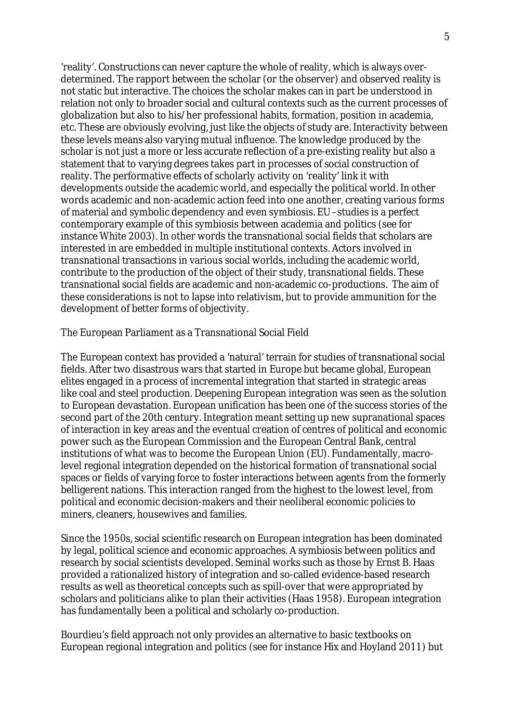'reality'. Constructions can never capture the whole of reality, which is always overdetermined. The rapport between the scholar (or the observer) and observed reality is not static but interactive. The choices the scholar makes can in part be understood in relation not only to broader social and cultural contexts such as the current processes of globalization but also to his/her professional habits, formation, position in academia, etc. These are obviously evolving, just like the objects of study are. Interactivity between these levels means also varying mutual influence. The knowledge produced by the scholar is not just a more or less accurate reflection of a pre-existing reality but also a statement that to varying degrees takes part in processes of social construction of reality. The performative effects of scholarly activity on 'reality' link it with developments outside the academic world, and especially the political world. In other words academic and non-academic action feed into one another, creating various forms of material and symbolic dependency and even symbiosis. EU –studies is a perfect contemporary example of this symbiosis between academia and politics (see for instance White 2003). In other words the transnational social fields that scholars are interested in are embedded in multiple institutional contexts. Actors involved in transnational transactions in various social worlds, including the academic world, contribute to the production of the object of their study, transnational fields. These transnational social fields are academic and non-academic co-productions. The aim of these considerations is not to lapse into relativism, but to provide ammunition for the development of better forms of objectivity.

The European Parliament as a Transnational Social Field

The European context has provided a 'natural' terrain for studies of transnational social fields. After two disastrous wars that started in Europe but became global, European elites engaged in a process of incremental integration that started in strategic areas like coal and steel production. Deepening European integration was seen as the solution to European devastation. European unification has been one of the success stories of the second part of the 20th century. Integration meant setting up new supranational spaces of interaction in key areas and the eventual creation of centres of political and economic power such as the European Commission and the European Central Bank, central institutions of what was to become the European Union (EU). Fundamentally, macrolevel regional integration depended on the historical formation of transnational social spaces or fields of varying force to foster interactions between agents from the formerly belligerent nations. This interaction ranged from the highest to the lowest level, from political and economic decision-makers and their neoliberal economic policies to miners, cleaners, housewives and families.

Since the 1950s, social scientific research on European integration has been dominated by legal, political science and economic approaches. A symbiosis between politics and research by social scientists developed. Seminal works such as those by Ernst B. Haas provided a rationalized history of integration and so-called evidence-based research results as well as theoretical concepts such as spill-over that were appropriated by scholars and politicians alike to plan their activities (Haas 1958). European integration has fundamentally been a political and scholarly co-production.

Bourdieu's field approach not only provides an alternative to basic textbooks on European regional integration and politics (see for instance Hix and Hoyland 2011) but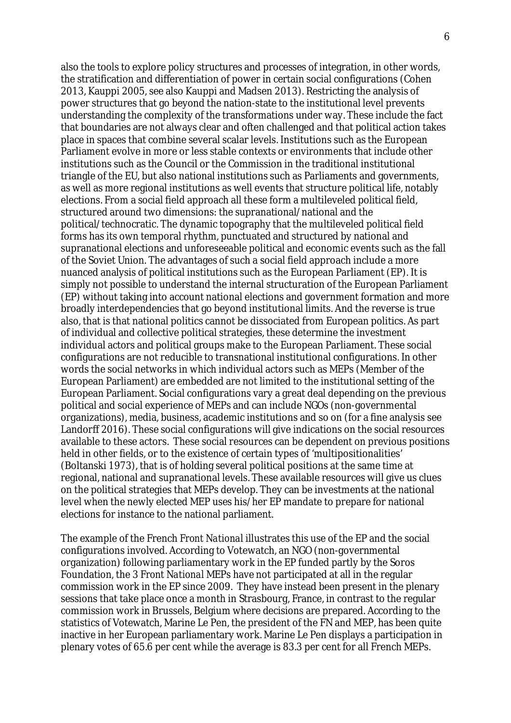also the tools to explore policy structures and processes of integration, in other words, the stratification and differentiation of power in certain social configurations (Cohen 2013, Kauppi 2005, see also Kauppi and Madsen 2013). Restricting the analysis of power structures that go beyond the nation-state to the institutional level prevents understanding the complexity of the transformations under way. These include the fact that boundaries are not always clear and often challenged and that political action takes place in spaces that combine several scalar levels. Institutions such as the European Parliament evolve in more or less stable contexts or environments that include other institutions such as the Council or the Commission in the traditional institutional triangle of the EU, but also national institutions such as Parliaments and governments, as well as more regional institutions as well events that structure political life, notably elections. From a social field approach all these form a multileveled political field, structured around two dimensions: the supranational/national and the political/technocratic. The dynamic topography that the multileveled political field forms has its own temporal rhythm, punctuated and structured by national and supranational elections and unforeseeable political and economic events such as the fall of the Soviet Union. The advantages of such a social field approach include a more nuanced analysis of political institutions such as the European Parliament (EP). It is simply not possible to understand the internal structuration of the European Parliament (EP) without taking into account national elections and government formation and more broadly interdependencies that go beyond institutional limits. And the reverse is true also, that is that national politics cannot be dissociated from European politics. As part of individual and collective political strategies, these determine the investment individual actors and political groups make to the European Parliament. These social configurations are not reducible to transnational institutional configurations. In other words the social networks in which individual actors such as MEPs (Member of the European Parliament) are embedded are not limited to the institutional setting of the European Parliament. Social configurations vary a great deal depending on the previous political and social experience of MEPs and can include NGOs (non-governmental organizations), media, business, academic institutions and so on (for a fine analysis see Landorff 2016). These social configurations will give indications on the social resources available to these actors. These social resources can be dependent on previous positions held in other fields, or to the existence of certain types of 'multipositionalities' (Boltanski 1973), that is of holding several political positions at the same time at regional, national and supranational levels. These available resources will give us clues on the political strategies that MEPs develop. They can be investments at the national level when the newly elected MEP uses his/her EP mandate to prepare for national elections for instance to the national parliament.

The example of the French *Front National* illustrates this use of the EP and the social configurations involved. According to Votewatch, an NGO (non-governmental organization) following parliamentary work in the EP funded partly by the Soros Foundation, the 3 *Front National* MEPs have not participated at all in the regular commission work in the EP since 2009. They have instead been present in the plenary sessions that take place once a month in Strasbourg, France, in contrast to the regular commission work in Brussels, Belgium where decisions are prepared. According to the statistics of Votewatch, Marine Le Pen, the president of the FN and MEP, has been quite inactive in her European parliamentary work. Marine Le Pen displays a participation in plenary votes of 65.6 per cent while the average is 83.3 per cent for all French MEPs.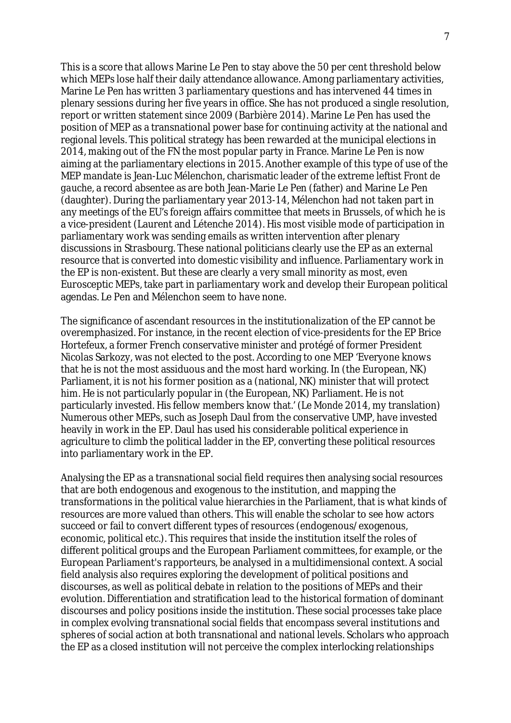This is a score that allows Marine Le Pen to stay above the 50 per cent threshold below which MEPs lose half their daily attendance allowance. Among parliamentary activities, Marine Le Pen has written 3 parliamentary questions and has intervened 44 times in plenary sessions during her five years in office. She has not produced a single resolution, report or written statement since 2009 (Barbière 2014). Marine Le Pen has used the position of MEP as a transnational power base for continuing activity at the national and regional levels. This political strategy has been rewarded at the municipal elections in 2014, making out of the FN the most popular party in France. Marine Le Pen is now aiming at the parliamentary elections in 2015. Another example of this type of use of the MEP mandate is Jean-Luc Mélenchon, charismatic leader of the extreme leftist *Front de gauche*, a record absentee as are both Jean-Marie Le Pen (father) and Marine Le Pen (daughter). During the parliamentary year 2013-14, Mélenchon had not taken part in any meetings of the EU's foreign affairs committee that meets in Brussels, of which he is a vice-president (Laurent and Létenche 2014). His most visible mode of participation in parliamentary work was sending emails as written intervention after plenary discussions in Strasbourg. These national politicians clearly use the EP as an external resource that is converted into domestic visibility and influence. Parliamentary work in the EP is non-existent. But these are clearly a very small minority as most, even Eurosceptic MEPs, take part in parliamentary work and develop their European political agendas. Le Pen and Mélenchon seem to have none.

The significance of ascendant resources in the institutionalization of the EP cannot be overemphasized. For instance, in the recent election of vice-presidents for the EP Brice Hortefeux, a former French conservative minister and protégé of former President Nicolas Sarkozy, was not elected to the post. According to one MEP 'Everyone knows that he is not the most assiduous and the most hard working. In (the European, NK) Parliament, it is not his former position as a (national, NK) minister that will protect him. He is not particularly popular in (the European, NK) Parliament. He is not particularly invested. His fellow members know that.' (*Le Monde* 2014, my translation) Numerous other MEPs, such as Joseph Daul from the conservative UMP, have invested heavily in work in the EP. Daul has used his considerable political experience in agriculture to climb the political ladder in the EP, converting these political resources into parliamentary work in the EP.

Analysing the EP as a transnational social field requires then analysing social resources that are both endogenous and exogenous to the institution, and mapping the transformations in the political value hierarchies in the Parliament, that is what kinds of resources are more valued than others. This will enable the scholar to see how actors succeed or fail to convert different types of resources (endogenous/exogenous, economic, political etc.). This requires that inside the institution itself the roles of different political groups and the European Parliament committees, for example, or the European Parliament's *rapporteurs*, be analysed in a multidimensional context. A social field analysis also requires exploring the development of political positions and discourses, as well as political debate in relation to the positions of MEPs and their evolution. Differentiation and stratification lead to the historical formation of dominant discourses and policy positions inside the institution. These social processes take place in complex evolving transnational social fields that encompass several institutions and spheres of social action at both transnational and national levels. Scholars who approach the EP as a closed institution will not perceive the complex interlocking relationships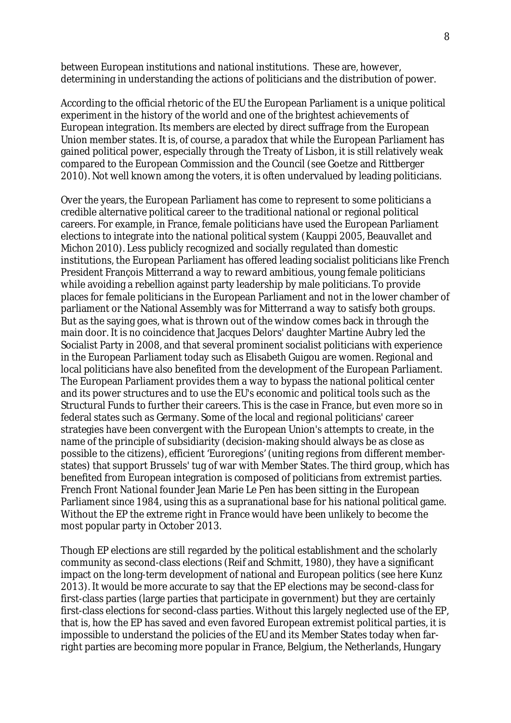between European institutions and national institutions. These are, however, determining in understanding the actions of politicians and the distribution of power.

According to the official rhetoric of the EU the European Parliament is a unique political experiment in the history of the world and one of the brightest achievements of European integration. Its members are elected by direct suffrage from the European Union member states. It is, of course, a paradox that while the European Parliament has gained political power, especially through the Treaty of Lisbon, it is still relatively weak compared to the European Commission and the Council (see Goetze and Rittberger 2010). Not well known among the voters, it is often undervalued by leading politicians.

Over the years, the European Parliament has come to represent to some politicians a credible alternative political career to the traditional national or regional political careers. For example, in France, female politicians have used the European Parliament elections to integrate into the national political system (Kauppi 2005, Beauvallet and Michon 2010). Less publicly recognized and socially regulated than domestic institutions, the European Parliament has offered leading socialist politicians like French President François Mitterrand a way to reward ambitious, young female politicians while avoiding a rebellion against party leadership by male politicians. To provide places for female politicians in the European Parliament and not in the lower chamber of parliament or the National Assembly was for Mitterrand a way to satisfy both groups. But as the saying goes, what is thrown out of the window comes back in through the main door. It is no coincidence that Jacques Delors' daughter Martine Aubry led the Socialist Party in 2008, and that several prominent socialist politicians with experience in the European Parliament today such as Elisabeth Guigou are women. Regional and local politicians have also benefited from the development of the European Parliament. The European Parliament provides them a way to bypass the national political center and its power structures and to use the EU's economic and political tools such as the Structural Funds to further their careers. This is the case in France, but even more so in federal states such as Germany. Some of the local and regional politicians' career strategies have been convergent with the European Union's attempts to create, in the name of the principle of subsidiarity (decision-making should always be as close as possible to the citizens), efficient 'Euroregions' (uniting regions from different memberstates) that support Brussels' tug of war with Member States. The third group, which has benefited from European integration is composed of politicians from extremist parties. French *Front National* founder Jean Marie Le Pen has been sitting in the European Parliament since 1984, using this as a supranational base for his national political game. Without the EP the extreme right in France would have been unlikely to become the most popular party in October 2013.

Though EP elections are still regarded by the political establishment and the scholarly community as second-class elections (Reif and Schmitt, 1980), they have a significant impact on the long-term development of national and European politics (see here Kunz 2013). It would be more accurate to say that the EP elections may be second-class for first-class parties (large parties that participate in government) but they are certainly first-class elections for second-class parties. Without this largely neglected use of the EP, that is, how the EP has saved and even favored European extremist political parties, it is impossible to understand the policies of the EU and its Member States today when farright parties are becoming more popular in France, Belgium, the Netherlands, Hungary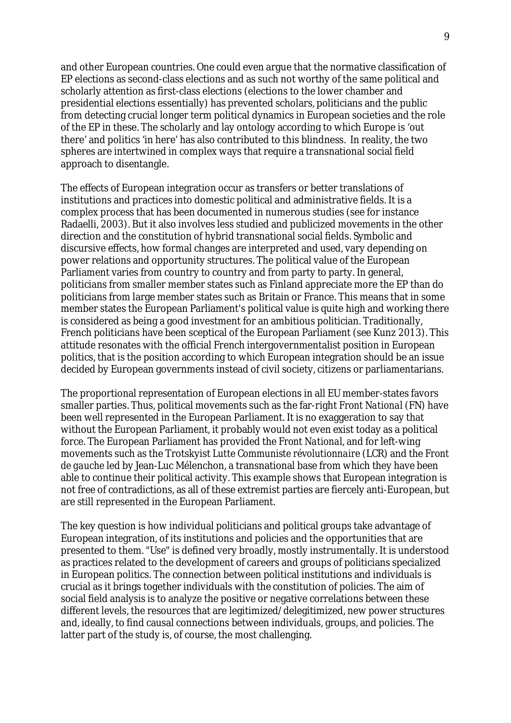and other European countries. One could even argue that the normative classification of EP elections as second-class elections and as such not worthy of the same political and scholarly attention as first-class elections (elections to the lower chamber and presidential elections essentially) has prevented scholars, politicians and the public from detecting crucial longer term political dynamics in European societies and the role of the EP in these. The scholarly and lay ontology according to which Europe is 'out there' and politics 'in here' has also contributed to this blindness. In reality, the two spheres are intertwined in complex ways that require a transnational social field approach to disentangle.

The effects of European integration occur as transfers or better translations of institutions and practices into domestic political and administrative fields. It is a complex process that has been documented in numerous studies (see for instance Radaelli, 2003). But it also involves less studied and publicized movements in the other direction and the constitution of hybrid transnational social fields. Symbolic and discursive effects, how formal changes are interpreted and used, vary depending on power relations and opportunity structures. The political value of the European Parliament varies from country to country and from party to party. In general, politicians from smaller member states such as Finland appreciate more the EP than do politicians from large member states such as Britain or France. This means that in some member states the European Parliament's political value is quite high and working there is considered as being a good investment for an ambitious politician. Traditionally, French politicians have been sceptical of the European Parliament (see Kunz 2013). This attitude resonates with the official French intergovernmentalist position in European politics, that is the position according to which European integration should be an issue decided by European governments instead of civil society, citizens or parliamentarians.

The proportional representation of European elections in all EU member-states favors smaller parties. Thus, political movements such as the far-right *Front National* (FN) have been well represented in the European Parliament. It is no exaggeration to say that without the European Parliament, it probably would not even exist today as a political force. The European Parliament has provided the *Front National*, and for left-wing movements such as the Trotskyist *Lutte Communiste révolutionnaire* (LCR) and the *Front de gauche* led by Jean-Luc Mélenchon, a transnational base from which they have been able to continue their political activity. This example shows that European integration is not free of contradictions, as all of these extremist parties are fiercely anti-European, but are still represented in the European Parliament.

The key question is how individual politicians and political groups take advantage of European integration, of its institutions and policies and the opportunities that are presented to them. "Use" is defined very broadly, mostly instrumentally. It is understood as practices related to the development of careers and groups of politicians specialized in European politics. The connection between political institutions and individuals is crucial as it brings together individuals with the constitution of policies. The aim of social field analysis is to analyze the positive or negative correlations between these different levels, the resources that are legitimized/delegitimized, new power structures and, ideally, to find causal connections between individuals, groups, and policies. The latter part of the study is, of course, the most challenging.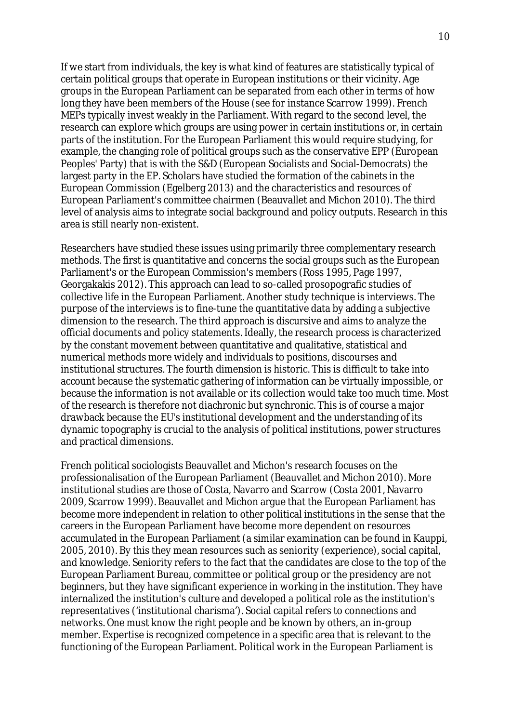If we start from individuals, the key is what kind of features are statistically typical of certain political groups that operate in European institutions or their vicinity. Age groups in the European Parliament can be separated from each other in terms of how long they have been members of the House (see for instance Scarrow 1999). French MEPs typically invest weakly in the Parliament. With regard to the second level, the research can explore which groups are using power in certain institutions or, in certain parts of the institution. For the European Parliament this would require studying, for example, the changing role of political groups such as the conservative EPP (European Peoples' Party) that is with the S&D (European Socialists and Social-Democrats) the largest party in the EP. Scholars have studied the formation of the cabinets in the European Commission (Egelberg 2013) and the characteristics and resources of European Parliament's committee chairmen (Beauvallet and Michon 2010). The third level of analysis aims to integrate social background and policy outputs. Research in this area is still nearly non-existent.

Researchers have studied these issues using primarily three complementary research methods. The first is quantitative and concerns the social groups such as the European Parliament's or the European Commission's members (Ross 1995, Page 1997, Georgakakis 2012). This approach can lead to so-called prosopografic studies of collective life in the European Parliament. Another study technique is interviews. The purpose of the interviews is to fine-tune the quantitative data by adding a subjective dimension to the research. The third approach is discursive and aims to analyze the official documents and policy statements. Ideally, the research process is characterized by the constant movement between quantitative and qualitative, statistical and numerical methods more widely and individuals to positions, discourses and institutional structures. The fourth dimension is historic. This is difficult to take into account because the systematic gathering of information can be virtually impossible, or because the information is not available or its collection would take too much time. Most of the research is therefore not diachronic but synchronic. This is of course a major drawback because the EU's institutional development and the understanding of its dynamic topography is crucial to the analysis of political institutions, power structures and practical dimensions.

French political sociologists Beauvallet and Michon's research focuses on the professionalisation of the European Parliament (Beauvallet and Michon 2010). More institutional studies are those of Costa, Navarro and Scarrow (Costa 2001, Navarro 2009, Scarrow 1999). Beauvallet and Michon argue that the European Parliament has become more independent in relation to other political institutions in the sense that the careers in the European Parliament have become more dependent on resources accumulated in the European Parliament (a similar examination can be found in Kauppi, 2005, 2010). By this they mean resources such as seniority (experience), social capital, and knowledge. Seniority refers to the fact that the candidates are close to the top of the European Parliament Bureau, committee or political group or the presidency are not beginners, but they have significant experience in working in the institution. They have internalized the institution's culture and developed a political role as the institution's representatives ('institutional charisma'). Social capital refers to connections and networks. One must know the right people and be known by others, an in-group member. Expertise is recognized competence in a specific area that is relevant to the functioning of the European Parliament. Political work in the European Parliament is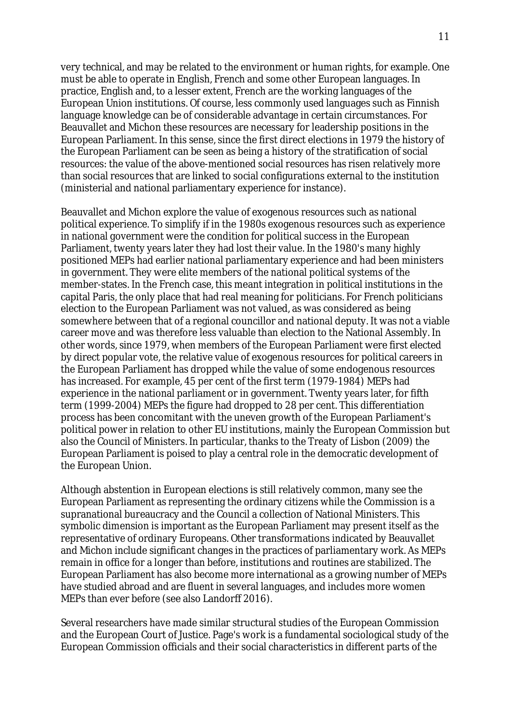very technical, and may be related to the environment or human rights, for example. One must be able to operate in English, French and some other European languages. In practice, English and, to a lesser extent, French are the working languages of the European Union institutions. Of course, less commonly used languages such as Finnish language knowledge can be of considerable advantage in certain circumstances. For Beauvallet and Michon these resources are necessary for leadership positions in the European Parliament. In this sense, since the first direct elections in 1979 the history of the European Parliament can be seen as being a history of the stratification of social resources: the value of the above-mentioned social resources has risen relatively more than social resources that are linked to social configurations external to the institution (ministerial and national parliamentary experience for instance).

Beauvallet and Michon explore the value of exogenous resources such as national political experience. To simplify if in the 1980s exogenous resources such as experience in national government were the condition for political success in the European Parliament, twenty years later they had lost their value. In the 1980's many highly positioned MEPs had earlier national parliamentary experience and had been ministers in government. They were elite members of the national political systems of the member-states. In the French case, this meant integration in political institutions in the capital Paris, the only place that had real meaning for politicians. For French politicians election to the European Parliament was not valued, as was considered as being somewhere between that of a regional councillor and national deputy. It was not a viable career move and was therefore less valuable than election to the National Assembly. In other words, since 1979, when members of the European Parliament were first elected by direct popular vote, the relative value of exogenous resources for political careers in the European Parliament has dropped while the value of some endogenous resources has increased. For example, 45 per cent of the first term (1979-1984) MEPs had experience in the national parliament or in government. Twenty years later, for fifth term (1999-2004) MEPs the figure had dropped to 28 per cent. This differentiation process has been concomitant with the uneven growth of the European Parliament's political power in relation to other EU institutions, mainly the European Commission but also the Council of Ministers. In particular, thanks to the Treaty of Lisbon (2009) the European Parliament is poised to play a central role in the democratic development of the European Union.

Although abstention in European elections is still relatively common, many see the European Parliament as representing the ordinary citizens while the Commission is a supranational bureaucracy and the Council a collection of National Ministers. This symbolic dimension is important as the European Parliament may present itself as the representative of ordinary Europeans. Other transformations indicated by Beauvallet and Michon include significant changes in the practices of parliamentary work. As MEPs remain in office for a longer than before, institutions and routines are stabilized. The European Parliament has also become more international as a growing number of MEPs have studied abroad and are fluent in several languages, and includes more women MEPs than ever before (see also Landorff 2016).

Several researchers have made similar structural studies of the European Commission and the European Court of Justice. Page's work is a fundamental sociological study of the European Commission officials and their social characteristics in different parts of the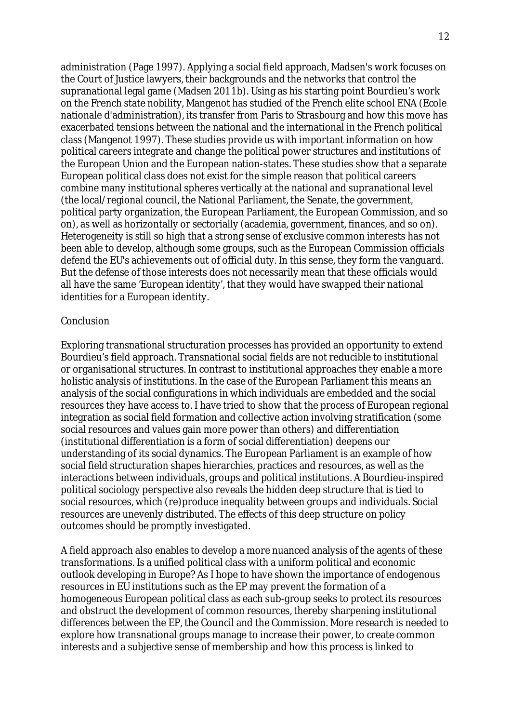administration (Page 1997). Applying a social field approach, Madsen's work focuses on the Court of Justice lawyers, their backgrounds and the networks that control the supranational legal game (Madsen 2011b). Using as his starting point Bourdieu's work on the French state nobility, Mangenot has studied of the French elite school ENA (Ecole nationale d'administration), its transfer from Paris to Strasbourg and how this move has exacerbated tensions between the national and the international in the French political class (Mangenot 1997). These studies provide us with important information on how political careers integrate and change the political power structures and institutions of the European Union and the European nation-states. These studies show that a separate European political class does not exist for the simple reason that political careers combine many institutional spheres vertically at the national and supranational level (the local/regional council, the National Parliament, the Senate, the government, political party organization, the European Parliament, the European Commission, and so on), as well as horizontally or sectorially (academia, government, finances, and so on). Heterogeneity is still so high that a strong sense of exclusive common interests has not been able to develop, although some groups, such as the European Commission officials defend the EU's achievements out of official duty. In this sense, they form the vanguard. But the defense of those interests does not necessarily mean that these officials would all have the same 'European identity', that they would have swapped their national identities for a European identity.

#### Conclusion

Exploring transnational structuration processes has provided an opportunity to extend Bourdieu's field approach. Transnational social fields are not reducible to institutional or organisational structures. In contrast to institutional approaches they enable a more holistic analysis of institutions. In the case of the European Parliament this means an analysis of the social configurations in which individuals are embedded and the social resources they have access to. I have tried to show that the process of European regional integration as social field formation and collective action involving stratification (some social resources and values gain more power than others) and differentiation (institutional differentiation is a form of social differentiation) deepens our understanding of its social dynamics. The European Parliament is an example of how social field structuration shapes hierarchies, practices and resources, as well as the interactions between individuals, groups and political institutions. A Bourdieu-inspired political sociology perspective also reveals the hidden deep structure that is tied to social resources, which (re)produce inequality between groups and individuals. Social resources are unevenly distributed. The effects of this deep structure on policy outcomes should be promptly investigated.

A field approach also enables to develop a more nuanced analysis of the agents of these transformations. Is a unified political class with a uniform political and economic outlook developing in Europe? As I hope to have shown the importance of endogenous resources in EU institutions such as the EP may prevent the formation of a homogeneous European political class as each sub-group seeks to protect its resources and obstruct the development of common resources, thereby sharpening institutional differences between the EP, the Council and the Commission. More research is needed to explore how transnational groups manage to increase their power, to create common interests and a subjective sense of membership and how this process is linked to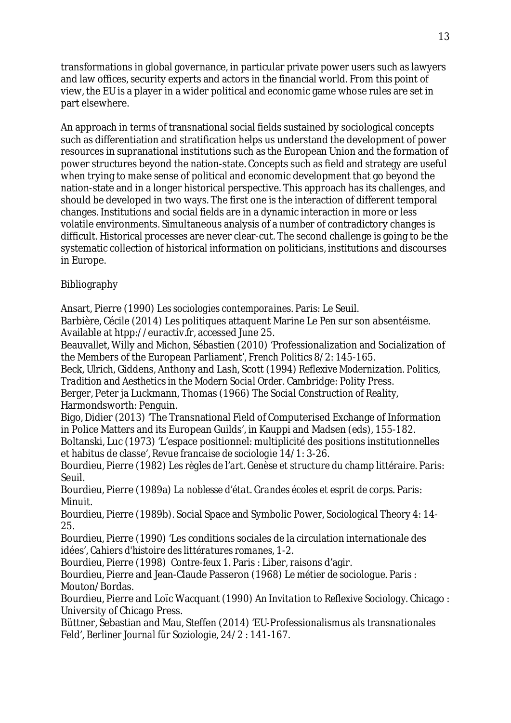transformations in global governance, in particular private power users such as lawyers and law offices, security experts and actors in the financial world. From this point of view, the EU is a player in a wider political and economic game whose rules are set in part elsewhere.

An approach in terms of transnational social fields sustained by sociological concepts such as differentiation and stratification helps us understand the development of power resources in supranational institutions such as the European Union and the formation of power structures beyond the nation-state. Concepts such as field and strategy are useful when trying to make sense of political and economic development that go beyond the nation-state and in a longer historical perspective. This approach has its challenges, and should be developed in two ways. The first one is the interaction of different temporal changes. Institutions and social fields are in a dynamic interaction in more or less volatile environments. Simultaneous analysis of a number of contradictory changes is difficult. Historical processes are never clear-cut. The second challenge is going to be the systematic collection of historical information on politicians, institutions and discourses in Europe.

# Bibliography

Ansart, Pierre (1990) *Les sociologies contemporaines*. Paris: Le Seuil.

Barbière, Cécile (2014) Les politiques attaquent Marine Le Pen sur son absentéisme. Available at htpp://euractiv.fr, accessed June 25.

Beauvallet, Willy and Michon, Sébastien (2010) 'Professionalization and Socialization of the Members of the European Parliament', *French Politics* 8/2: 145-165.

Beck, Ulrich, Giddens, Anthony and Lash, Scott (1994) *Reflexive Modernization. Politics, Tradition and Aesthetics in the Modern Social Order*. Cambridge: Polity Press.

Berger, Peter ja Luckmann, Thomas (1966) *The Social Construction of Reality*, Harmondsworth: Penguin.

Bigo, Didier (2013) 'The Transnational Field of Computerised Exchange of Information in Police Matters and its European Guilds', in Kauppi and Madsen (eds), 155-182.

Boltanski, Luc (1973) 'L'espace positionnel: multiplicité des positions institutionnelles et habitus de classe', *Revue francaise de sociologie* 14/1: 3-26.

Bourdieu, Pierre (1982) *Les règles de l'art. Genèse et structure du champ littéraire*. Paris: Seuil.

Bourdieu, Pierre (1989a) *La noblesse d'état. Grandes écoles et esprit de corps*. Paris: Minuit.

Bourdieu, Pierre (1989b). Social Space and Symbolic Power, *Sociological Theory* 4: 14- 25.

Bourdieu, Pierre (1990) 'Les conditions sociales de la circulation internationale des idées', *Cahiers d'histoire des littératures romanes*, 1-2.

Bourdieu, Pierre (1998) *Contre-feux 1*. Paris : Liber, raisons d'agir.

Bourdieu, Pierre and Jean-Claude Passeron (1968) *Le métier de sociologue*. Paris : Mouton/Bordas.

Bourdieu, Pierre and Loïc Wacquant (1990) *An Invitation to Reflexive Sociology*. Chicago : University of Chicago Press.

Büttner, Sebastian and Mau, Steffen (2014) 'EU-Professionalismus als transnationales Feld', *Berliner Journal für Soziologie*, 24/2 : 141-167.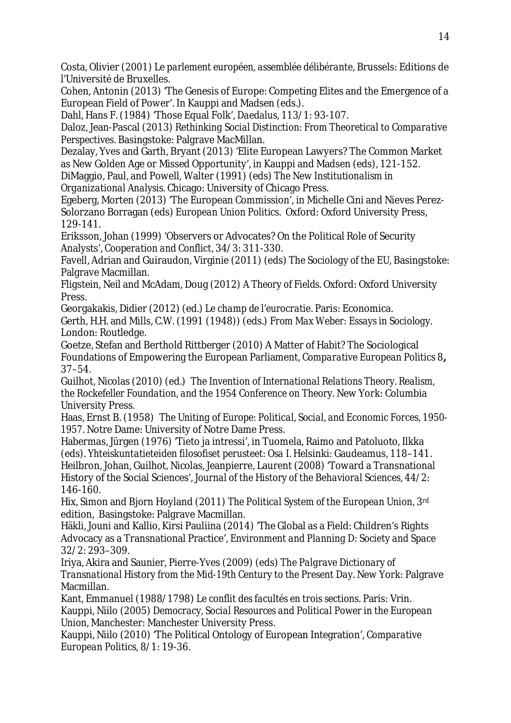Costa, Olivier (2001) *Le parlement européen, assemblée délibérante*, Brussels: Editions de l'Université de Bruxelles.

Cohen, Antonin (2013) 'The Genesis of Europe: Competing Elites and the Emergence of a European Field of Power'. In Kauppi and Madsen (eds.).

Dahl, Hans F. (1984) 'Those Equal Folk', *Daedalus,* 113/1: 93-107.

Daloz, Jean-Pascal (2013) *Rethinking Social Distinction: From Theoretical to Comparative Perspectives*. Basingstoke: Palgrave MacMillan.

Dezalay, Yves and Garth, Bryant (2013) 'Elite European Lawyers? The Common Market as New Golden Age or Missed Opportunity', in Kauppi and Madsen (eds), 121-152.

DiMaggio, Paul, and Powell, Walter (1991) (eds) *The New Institutionalism in Organizational Analysis*. Chicago: University of Chicago Press.

Egeberg, Morten (2013) 'The European Commission', in Michelle Cini and Nieves Perez-Solorzano Borragan (eds) *European Union Politics*. Oxford: Oxford University Press, 129-141.

Eriksson, Johan (1999) 'Observers or Advocates? On the Political Role of Security Analysts', *Cooperation and Conflict,* 34/3: 311-330.

Favell, Adrian and Guiraudon, Virginie (2011) (eds) *The Sociology of the EU*, Basingstoke: Palgrave Macmillan.

Fligstein, Neil and McAdam, Doug (2012) *A Theory of Fields*. Oxford: Oxford University Press.

Georgakakis, Didier (2012) (ed.) *Le champ de l'eurocratie*. Paris: Economica.

Gerth, H.H. and Mills, C.W. (1991 (1948)) (eds.) *From Max Weber: Essays in Sociology*. London: Routledge.

Goetze, Stefan and Berthold Rittberger (2010) A Matter of Habit? The Sociological Foundations of Empowering the European Parliament, *Comparative European Politics* 8**,** 37–54.

Guilhot, Nicolas (2010) (ed.) *The Invention of International Relations Theory. Realism, the Rockefeller Foundation, and the 1954 Conference on Theory*. New York: Columbia University Press.

Haas, Ernst B. (1958) *The Uniting of Europe: Political, Social, and Economic Forces, 1950- 1957*. Notre Dame: University of Notre Dame Press.

Habermas, Jürgen (1976) 'Tieto ja intressi', in Tuomela, Raimo and Patoluoto, Ilkka (eds). *Yhteiskuntatieteiden filosofiset perusteet: Osa I.* Helsinki: Gaudeamus, 118–141. Heilbron, Johan, Guilhot, Nicolas, Jeanpierre, Laurent (2008) 'Toward a Transnational History of the Social Sciences', *Journal of the History of the Behavioral Sciences,* 44/2: 146-160.

Hix, Simon and Bjorn Hoyland (2011) *The Political System of the European Union*, 3rd edition, Basingstoke: Palgrave Macmillan.

Häkli, Jouni and Kallio, Kirsi Pauliina (2014) 'The Global as a Field: Children's Rights Advocacy as a Transnational Practice', *Environment and Planning D: Society and Space* 32/2: 293–309.

Iriya, Akira and Saunier, Pierre-Yves (2009) (eds) *The Palgrave Dictionary of Transnational History from the Mid-19th Century to the Present Day*. New York: Palgrave Macmillan.

Kant, Emmanuel (1988/1798) *Le conflit des facultés en trois sections*. Paris: Vrin. Kauppi, Niilo (2005) *Democracy, Social Resources and Political Power in the European Union*, Manchester: Manchester University Press.

Kauppi, Niilo (2010) 'The Political Ontology of European Integration', *Comparative European Politics,* 8/1: 19-36.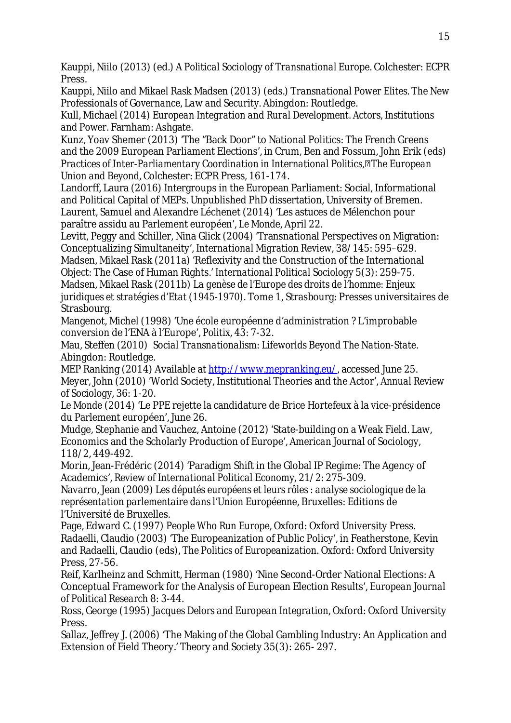Kauppi, Niilo (2013) (ed.) *A Political Sociology of Transnational Europe*. Colchester: ECPR Press.

Kauppi, Niilo and Mikael Rask Madsen (2013) (eds.) *Transnational Power Elites. The New Professionals of Governance, Law and Security*. Abingdon: Routledge.

Kull, Michael (2014) *European Integration and Rural Development. Actors, Institutions and Power.* Farnham: Ashgate.

Kunz, Yoav Shemer (2013) 'The "Back Door" to National Politics: The French Greens and the 2009 European Parliament Elections', in Crum, Ben and Fossum, John Erik (eds) *Practices of Inter-Parliamentary Coordination in International Politics,The European Union and Beyond*, Colchester: ECPR Press, 161-174.

Landorff, Laura (2016) Intergroups in the European Parliament: Social, Informational and Political Capital of MEPs. Unpublished PhD dissertation, University of Bremen. Laurent, Samuel and Alexandre Léchenet (2014) 'Les astuces de Mélenchon pour paraître assidu au Parlement européen', *Le Monde*, April 22.

Levitt, Peggy and Schiller, Nina Glick (2004) 'Transnational Perspectives on Migration: Conceptualizing Simultaneity', *International Migration Review*, 38/145: 595–629.

Madsen, Mikael Rask (2011a) 'Reflexivity and the Construction of the International Object: The Case of Human Rights.' *International Political Sociology* 5(3): 259-75. Madsen, Mikael Rask (2011b) *La genèse de l'Europe des droits de l'homme: Enjeux juridiques et stratégies d'Etat (1945-1970)*. Tome 1, Strasbourg: Presses universitaires de Strasbourg.

Mangenot, Michel (1998) 'Une école européenne d'administration ? L'improbable conversion de l'ENA à l'Europe', *Politix,* 43: 7-32.

Mau, Steffen (2010) *Social Transnationalism: Lifeworlds Beyond The Nation-State.* Abingdon: Routledge.

MEP Ranking (2014) Available at http://www.mepranking.eu/, accessed June 25. Meyer, John (2010) 'World Society, Institutional Theories and the Actor', *Annual Review of Sociology*, 36: 1-20.

*Le Monde* (2014) 'Le PPE rejette la candidature de Brice Hortefeux à la vice-présidence du Parlement européen', June 26.

Mudge, Stephanie and Vauchez, Antoine (2012) 'State-building on a Weak Field. Law, Economics and the Scholarly Production of Europe', *American Journal of Sociology*, 118/2, 449-492.

Morin, Jean-Frédéric (2014) 'Paradigm Shift in the Global IP Regime: The Agency of Academics', *Review of International Political Economy,* 21/2: 275-309.

Navarro, Jean (2009) *Les députés européens et leurs rôles : analyse sociologique de la représentation parlementaire dans l'Union Européenne*, Bruxelles: Editions de l'Université de Bruxelles.

Page, Edward C. (1997) *People Who Run Europe*, Oxford: Oxford University Press. Radaelli, Claudio (2003) 'The Europeanization of Public Policy', in Featherstone, Kevin and Radaelli, Claudio (eds), *The Politics of Europeanization*. Oxford: Oxford University Press, 27-56.

Reif, Karlheinz and Schmitt, Herman (1980) 'Nine Second-Order National Elections: A Conceptual Framework for the Analysis of European Election Results', *European Journal of Political Research* 8: 3-44.

Ross, George (1995) *Jacques Delors and European Integration*, Oxford: Oxford University Press.

Sallaz, Jeffrey J. (2006) 'The Making of the Global Gambling Industry: An Application and Extension of Field Theory.' *Theory and Society* 35(3): 265- 297.